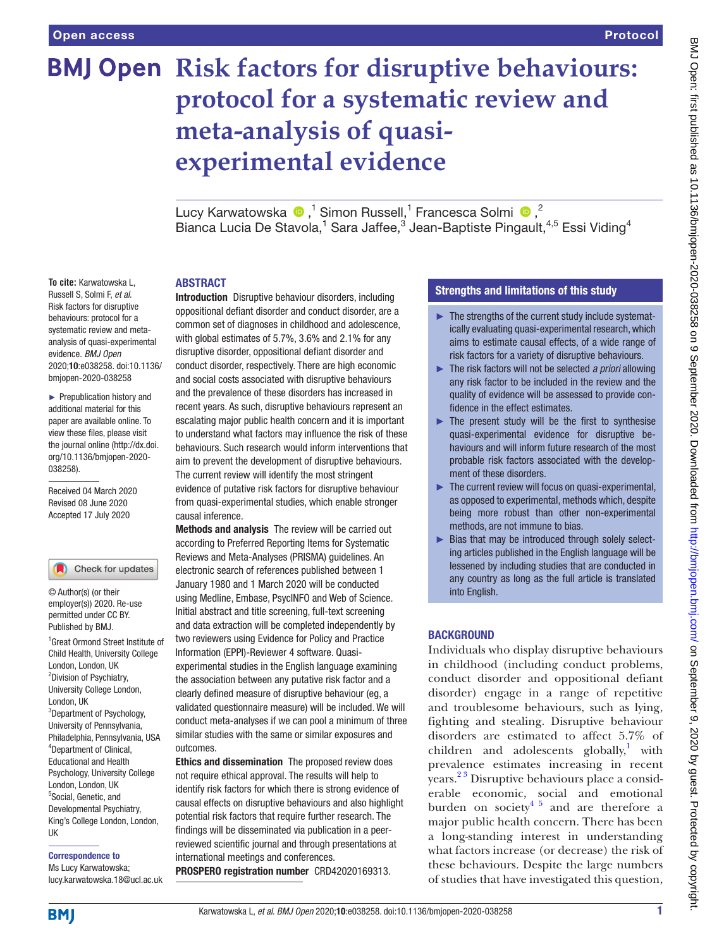# **BMJ Open Risk factors for disruptive behaviours: protocol for a systematic review and meta-analysis of quasiexperimental evidence**

LucyKarwatowska  $\bullet$ ,<sup>1</sup> Simon Russell,<sup>1</sup> Francesca Solmi  $\bullet$ ,<sup>2</sup> Bianca Lucia De Stavola,<sup>1</sup> Sara Jaffee,<sup>3</sup> Jean-Baptiste Pingault,<sup>4,5</sup> Essi Viding<sup>4</sup>

#### ABSTRACT

Russell S, Solmi F, *et al*. Risk factors for disruptive behaviours: protocol for a systematic review and metaanalysis of quasi-experimental evidence. *BMJ Open* 2020;10:e038258. doi:10.1136/ bmjopen-2020-038258 ► Prepublication history and

additional material for this paper are available online. To view these files, please visit the journal online (http://dx.doi. org/10.1136/bmjopen-2020- 038258).

**To cite:** Karwatowska L,

Received 04 March 2020 Revised 08 June 2020 Accepted 17 July 2020

#### Check for updates

© Author(s) (or their employer(s)) 2020. Re-use permitted under CC BY. Published by BMJ.

1 Great Ormond Street Institute of Child Health, University College London, London, UK <sup>2</sup> Division of Psychiatry, University College London, London, UK <sup>3</sup>Department of Psychology, University of Pennsylvania, Philadelphia, Pennsylvania, USA 4 Department of Clinical, Educational and Health Psychology, University College London, London, UK 5 Social, Genetic, and Developmental Psychiatry, King's College London, London, UK

Correspondence to Ms Lucy Karwatowska; lucy.karwatowska.18@ucl.ac.uk Introduction Disruptive behaviour disorders, including oppositional defiant disorder and conduct disorder, are a common set of diagnoses in childhood and adolescence, with global estimates of 5.7%, 3.6% and 2.1% for any disruptive disorder, oppositional defiant disorder and conduct disorder, respectively. There are high economic and social costs associated with disruptive behaviours and the prevalence of these disorders has increased in recent years. As such, disruptive behaviours represent an escalating major public health concern and it is important to understand what factors may influence the risk of these behaviours. Such research would inform interventions that aim to prevent the development of disruptive behaviours. The current review will identify the most stringent evidence of putative risk factors for disruptive behaviour from quasi-experimental studies, which enable stronger causal inference.

Methods and analysis The review will be carried out according to Preferred Reporting Items for Systematic Reviews and Meta-Analyses (PRISMA) guidelines. An electronic search of references published between 1 January 1980 and 1 March 2020 will be conducted using Medline, Embase, PsycINFO and Web of Science. Initial abstract and title screening, full-text screening and data extraction will be completed independently by two reviewers using Evidence for Policy and Practice Information (EPPI)-Reviewer 4 software. Quasiexperimental studies in the English language examining the association between any putative risk factor and a clearly defined measure of disruptive behaviour (eg, a validated questionnaire measure) will be included. We will conduct meta-analyses if we can pool a minimum of three similar studies with the same or similar exposures and outcomes.

Ethics and dissemination The proposed review does not require ethical approval. The results will help to identify risk factors for which there is strong evidence of causal effects on disruptive behaviours and also highlight potential risk factors that require further research. The findings will be disseminated via publication in a peerreviewed scientific journal and through presentations at international meetings and conferences. PROSPERO registration number CRD42020169313.

#### Strengths and limitations of this study

- ► The strengths of the current study include systematically evaluating quasi-experimental research, which aims to estimate causal effects, of a wide range of risk factors for a variety of disruptive behaviours.
- ► The risk factors will not be selected *a priori* allowing any risk factor to be included in the review and the quality of evidence will be assessed to provide confidence in the effect estimates.
- $\blacktriangleright$  The present study will be the first to synthesise quasi-experimental evidence for disruptive behaviours and will inform future research of the most probable risk factors associated with the development of these disorders.
- $\blacktriangleright$  The current review will focus on quasi-experimental. as opposed to experimental, methods which, despite being more robust than other non-experimental methods, are not immune to bias.
- ► Bias that may be introduced through solely selecting articles published in the English language will be lessened by including studies that are conducted in any country as long as the full article is translated into English.

#### **BACKGROUND**

Individuals who display disruptive behaviours in childhood (including conduct problems, conduct disorder and oppositional defiant disorder) engage in a range of repetitive and troublesome behaviours, such as lying, fighting and stealing. Disruptive behaviour disorders are estimated to affect 5.7% of children and adolescents globally, $1$  with prevalence estimates increasing in recent years.<sup>23</sup> Disruptive behaviours place a considerable economic, social and emotional burden on society<sup>[4 5](#page-6-2)</sup> and are therefore a major public health concern. There has been a long-standing interest in understanding what factors increase (or decrease) the risk of these behaviours. Despite the large numbers of studies that have investigated this question,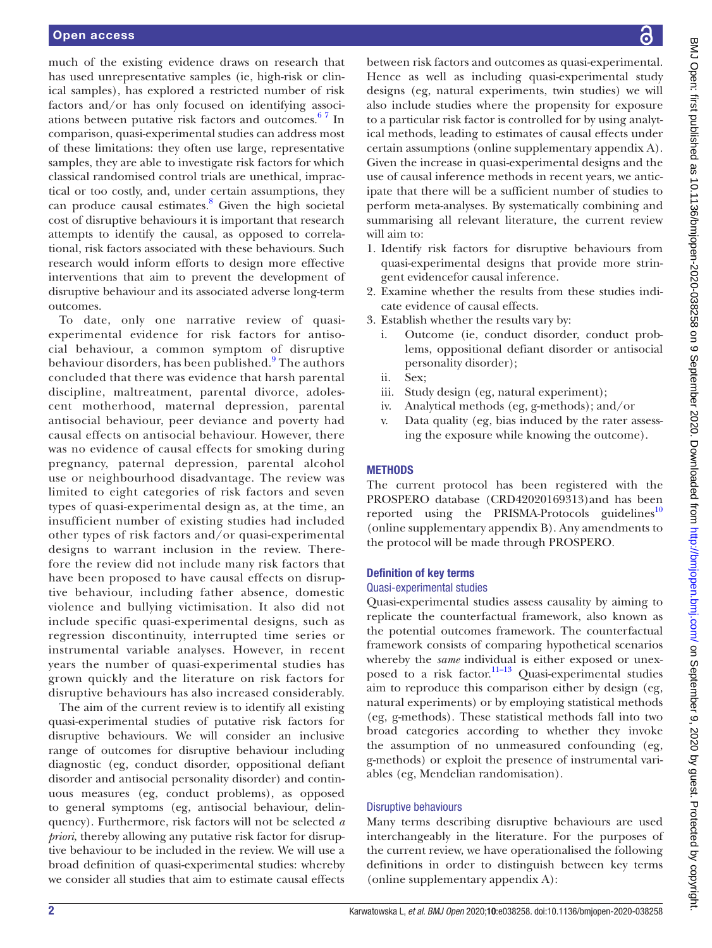much of the existing evidence draws on research that has used unrepresentative samples (ie, high-risk or clinical samples), has explored a restricted number of risk factors and/or has only focused on identifying associations between putative risk factors and outcomes. $67$  In comparison, quasi-experimental studies can address most of these limitations: they often use large, representative samples, they are able to investigate risk factors for which classical randomised control trials are unethical, impractical or too costly, and, under certain assumptions, they can produce causal estimates.<sup>[8](#page-6-4)</sup> Given the high societal cost of disruptive behaviours it is important that research attempts to identify the causal, as opposed to correlational, risk factors associated with these behaviours. Such research would inform efforts to design more effective interventions that aim to prevent the development of disruptive behaviour and its associated adverse long-term outcomes.

To date, only one narrative review of quasiexperimental evidence for risk factors for antisocial behaviour, a common symptom of disruptive behaviour disorders, has been published.<sup>[9](#page-6-5)</sup> The authors concluded that there was evidence that harsh parental discipline, maltreatment, parental divorce, adolescent motherhood, maternal depression, parental antisocial behaviour, peer deviance and poverty had causal effects on antisocial behaviour. However, there was no evidence of causal effects for smoking during pregnancy, paternal depression, parental alcohol use or neighbourhood disadvantage. The review was limited to eight categories of risk factors and seven types of quasi-experimental design as, at the time, an insufficient number of existing studies had included other types of risk factors and/or quasi-experimental designs to warrant inclusion in the review. Therefore the review did not include many risk factors that have been proposed to have causal effects on disruptive behaviour, including father absence, domestic violence and bullying victimisation. It also did not include specific quasi-experimental designs, such as regression discontinuity, interrupted time series or instrumental variable analyses. However, in recent years the number of quasi-experimental studies has grown quickly and the literature on risk factors for disruptive behaviours has also increased considerably.

The aim of the current review is to identify all existing quasi-experimental studies of putative risk factors for disruptive behaviours. We will consider an inclusive range of outcomes for disruptive behaviour including diagnostic (eg, conduct disorder, oppositional defiant disorder and antisocial personality disorder) and continuous measures (eg, conduct problems), as opposed to general symptoms (eg, antisocial behaviour, delinquency). Furthermore, risk factors will not be selected *a priori*, thereby allowing any putative risk factor for disruptive behaviour to be included in the review. We will use a broad definition of quasi-experimental studies: whereby we consider all studies that aim to estimate causal effects

between risk factors and outcomes as quasi-experimental. Hence as well as including quasi-experimental study designs (eg, natural experiments, twin studies) we will also include studies where the propensity for exposure to a particular risk factor is controlled for by using analytical methods, leading to estimates of causal effects under certain assumptions ([online supplementary appendix A\)](https://dx.doi.org/10.1136/bmjopen-2020-038258). Given the increase in quasi-experimental designs and the use of causal inference methods in recent years, we anticipate that there will be a sufficient number of studies to perform meta-analyses. By systematically combining and summarising all relevant literature, the current review will aim to:

- 1. Identify risk factors for disruptive behaviours from quasi-experimental designs that provide more stringent evidencefor causal inference.
- 2. Examine whether the results from these studies indicate evidence of causal effects.
- 3. Establish whether the results vary by:
	- i. Outcome (ie, conduct disorder, conduct problems, oppositional defiant disorder or antisocial personality disorder);
	- ii. Sex;
	- iii. Study design (eg, natural experiment);
	- iv. Analytical methods (eg, g-methods); and/or
	- v. Data quality (eg, bias induced by the rater assessing the exposure while knowing the outcome).

### **METHODS**

The current protocol has been registered with the PROSPERO database (CRD42020169313)and has been reported using the PRISMA-Protocols guidelines $10$ [\(online supplementary appendix B\)](https://dx.doi.org/10.1136/bmjopen-2020-038258). Any amendments to the protocol will be made through PROSPERO.

#### Definition of key terms

#### Quasi-experimental studies

Quasi-experimental studies assess causality by aiming to replicate the counterfactual framework, also known as the potential outcomes framework. The counterfactual framework consists of comparing hypothetical scenarios whereby the *same* individual is either exposed or unexposed to a risk factor.<sup>11–13</sup> Quasi-experimental studies aim to reproduce this comparison either by design (eg, natural experiments) or by employing statistical methods (eg, g-methods). These statistical methods fall into two broad categories according to whether they invoke the assumption of no unmeasured confounding (eg, g-methods) or exploit the presence of instrumental variables (eg, Mendelian randomisation).

#### Disruptive behaviours

Many terms describing disruptive behaviours are used interchangeably in the literature. For the purposes of the current review, we have operationalised the following definitions in order to distinguish between key terms [\(online supplementary appendix A\)](https://dx.doi.org/10.1136/bmjopen-2020-038258):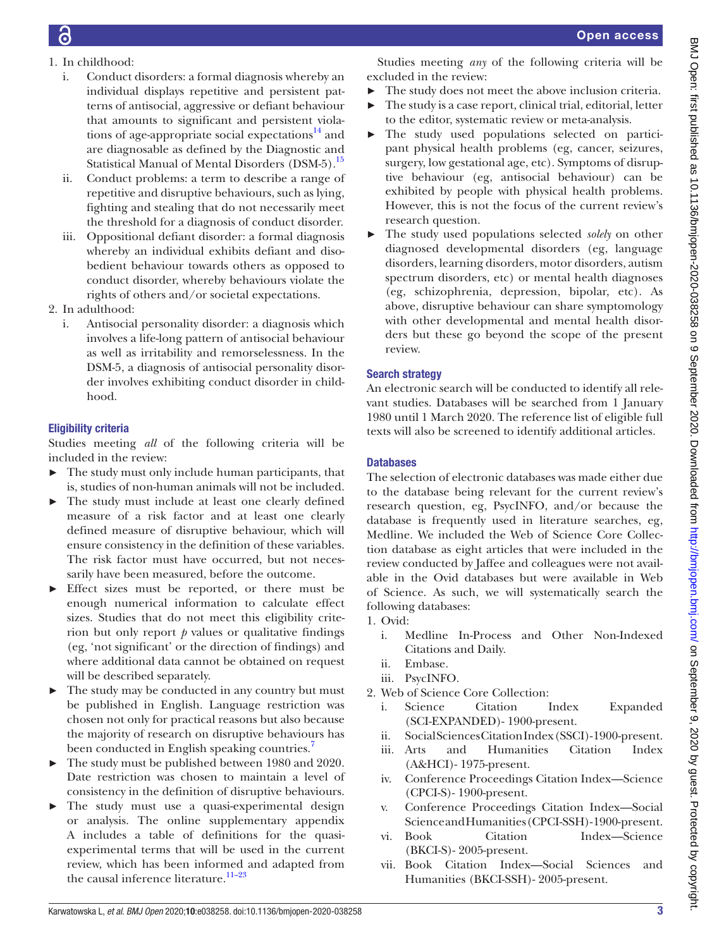- 1. In childhood:
	- i. Conduct disorders: a formal diagnosis whereby an individual displays repetitive and persistent patterns of antisocial, aggressive or defiant behaviour that amounts to significant and persistent violations of age-appropriate social expectations $^{14}$  and are diagnosable as defined by the Diagnostic and Statistical Manual of Mental Disorders (DSM-5).<sup>15</sup>
	- ii. Conduct problems: a term to describe a range of repetitive and disruptive behaviours, such as lying, fighting and stealing that do not necessarily meet the threshold for a diagnosis of conduct disorder.
	- iii. Oppositional defiant disorder: a formal diagnosis whereby an individual exhibits defiant and disobedient behaviour towards others as opposed to conduct disorder, whereby behaviours violate the rights of others and/or societal expectations.
- 2. In adulthood:
	- i. Antisocial personality disorder: a diagnosis which involves a life-long pattern of antisocial behaviour as well as irritability and remorselessness. In the DSM-5, a diagnosis of antisocial personality disorder involves exhibiting conduct disorder in childhood.

## Eligibility criteria

Studies meeting *all* of the following criteria will be included in the review:

- $\blacktriangleright$  The study must only include human participants, that is, studies of non-human animals will not be included.
- The study must include at least one clearly defined measure of a risk factor and at least one clearly defined measure of disruptive behaviour, which will ensure consistency in the definition of these variables. The risk factor must have occurred, but not necessarily have been measured, before the outcome.
- ► Effect sizes must be reported, or there must be enough numerical information to calculate effect sizes. Studies that do not meet this eligibility criterion but only report  $p$  values or qualitative findings (eg, 'not significant' or the direction of findings) and where additional data cannot be obtained on request will be described separately.
- The study may be conducted in any country but must be published in English. Language restriction was chosen not only for practical reasons but also because the majority of research on disruptive behaviours has been conducted in English speaking countries.<sup>[7](#page-6-10)</sup>
- ► The study must be published between 1980 and 2020. Date restriction was chosen to maintain a level of consistency in the definition of disruptive behaviours.
- The study must use a quasi-experimental design or analysis. The [online supplementary appendix](https://dx.doi.org/10.1136/bmjopen-2020-038258) [A](https://dx.doi.org/10.1136/bmjopen-2020-038258) includes a table of definitions for the quasiexperimental terms that will be used in the current review, which has been informed and adapted from the causal inference literature.<sup>11-23</sup>

Studies meeting *any* of the following criteria will be excluded in the review:

- The study does not meet the above inclusion criteria. ► The study is a case report, clinical trial, editorial, letter
- to the editor, systematic review or meta-analysis.
- ► The study used populations selected on participant physical health problems (eg, cancer, seizures, surgery, low gestational age, etc). Symptoms of disruptive behaviour (eg, antisocial behaviour) can be exhibited by people with physical health problems. However, this is not the focus of the current review's research question.
- ► The study used populations selected *solely* on other diagnosed developmental disorders (eg, language disorders, learning disorders, motor disorders, autism spectrum disorders, etc) or mental health diagnoses (eg, schizophrenia, depression, bipolar, etc). As above, disruptive behaviour can share symptomology with other developmental and mental health disorders but these go beyond the scope of the present review.

## Search strategy

An electronic search will be conducted to identify all relevant studies. Databases will be searched from 1 January 1980 until 1 March 2020. The reference list of eligible full texts will also be screened to identify additional articles.

## **Databases**

The selection of electronic databases was made either due to the database being relevant for the current review's research question, eg, PsycINFO, and/or because the database is frequently used in literature searches, eg, Medline. We included the Web of Science Core Collection database as eight articles that were included in the review conducted by Jaffee and colleagues were not available in the Ovid databases but were available in Web of Science. As such, we will systematically search the following databases:

- 1. Ovid:
	- i. Medline In-Process and Other Non-Indexed Citations and Daily.
	- ii. Embase.
	- iii. PsycINFO.
- 2. Web of Science Core Collection:
	- i. Science Citation Index Expanded (SCI-EXPANDED)- 1900-present.
	- ii. Social Sciences Citation Index (SSCI)- 1900-present.
	- iii. Arts and Humanities Citation Index (A&HCI)- 1975-present.
	- iv. Conference Proceedings Citation Index—Science (CPCI-S)- 1900-present.
	- v. Conference Proceedings Citation Index—Social Science and Humanities (CPCI-SSH)- 1900-present.
	- vi. Book Citation Index—Science (BKCI-S)- 2005-present.
	- vii. Book Citation Index—Social Sciences and Humanities (BKCI-SSH)- 2005-present.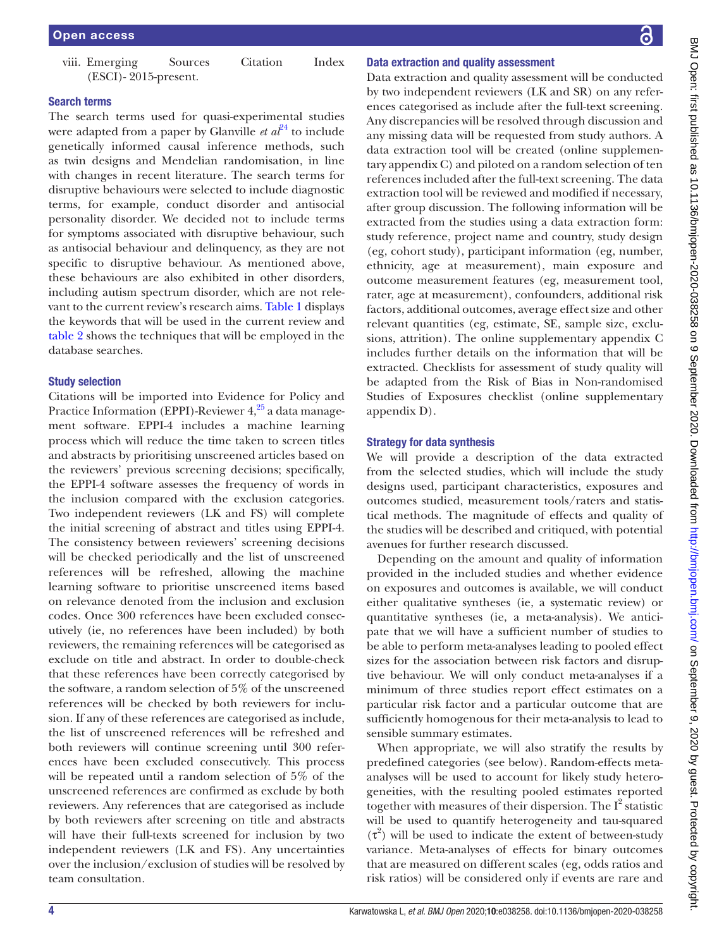viii. Emerging Sources Citation Index (ESCI)- 2015-present.

#### Search terms

The search terms used for quasi-experimental studies were adapted from a paper by Glanville  $et \t a<sup>{p4}</sup>$  to include genetically informed causal inference methods, such as twin designs and Mendelian randomisation, in line with changes in recent literature. The search terms for disruptive behaviours were selected to include diagnostic terms, for example, conduct disorder and antisocial personality disorder. We decided not to include terms for symptoms associated with disruptive behaviour, such as antisocial behaviour and delinquency, as they are not specific to disruptive behaviour. As mentioned above, these behaviours are also exhibited in other disorders, including autism spectrum disorder, which are not relevant to the current review's research aims. [Table](#page-4-0) 1 displays the keywords that will be used in the current review and [table](#page-5-0) 2 shows the techniques that will be employed in the database searches.

#### Study selection

Citations will be imported into Evidence for Policy and Practice Information (EPPI)-Reviewer  $4,^{25}$  a data management software. EPPI-4 includes a machine learning process which will reduce the time taken to screen titles and abstracts by prioritising unscreened articles based on the reviewers' previous screening decisions; specifically, the EPPI-4 software assesses the frequency of words in the inclusion compared with the exclusion categories. Two independent reviewers (LK and FS) will complete the initial screening of abstract and titles using EPPI-4. The consistency between reviewers' screening decisions will be checked periodically and the list of unscreened references will be refreshed, allowing the machine learning software to prioritise unscreened items based on relevance denoted from the inclusion and exclusion codes. Once 300 references have been excluded consecutively (ie, no references have been included) by both reviewers, the remaining references will be categorised as exclude on title and abstract. In order to double-check that these references have been correctly categorised by the software, a random selection of 5% of the unscreened references will be checked by both reviewers for inclusion. If any of these references are categorised as include, the list of unscreened references will be refreshed and both reviewers will continue screening until 300 references have been excluded consecutively. This process will be repeated until a random selection of 5% of the unscreened references are confirmed as exclude by both reviewers. Any references that are categorised as include by both reviewers after screening on title and abstracts will have their full-texts screened for inclusion by two independent reviewers (LK and FS). Any uncertainties over the inclusion/exclusion of studies will be resolved by team consultation.

#### Data extraction and quality assessment

Data extraction and quality assessment will be conducted by two independent reviewers (LK and SR) on any references categorised as include after the full-text screening. Any discrepancies will be resolved through discussion and any missing data will be requested from study authors. A data extraction tool will be created ([online supplemen](https://dx.doi.org/10.1136/bmjopen-2020-038258)[tary appendix C](https://dx.doi.org/10.1136/bmjopen-2020-038258)) and piloted on a random selection of ten references included after the full-text screening. The data extraction tool will be reviewed and modified if necessary, after group discussion. The following information will be extracted from the studies using a data extraction form: study reference, project name and country, study design (eg, cohort study), participant information (eg, number, ethnicity, age at measurement), main exposure and outcome measurement features (eg, measurement tool, rater, age at measurement), confounders, additional risk factors, additional outcomes, average effect size and other relevant quantities (eg, estimate, SE, sample size, exclusions, attrition). The [online supplementary appendix C](https://dx.doi.org/10.1136/bmjopen-2020-038258)  includes further details on the information that will be extracted. Checklists for assessment of study quality will be adapted from the Risk of Bias in Non-randomised Studies of Exposures checklist [\(online supplementary](https://dx.doi.org/10.1136/bmjopen-2020-038258)  [appendix D](https://dx.doi.org/10.1136/bmjopen-2020-038258)).

#### Strategy for data synthesis

We will provide a description of the data extracted from the selected studies, which will include the study designs used, participant characteristics, exposures and outcomes studied, measurement tools/raters and statistical methods. The magnitude of effects and quality of the studies will be described and critiqued, with potential avenues for further research discussed.

Depending on the amount and quality of information provided in the included studies and whether evidence on exposures and outcomes is available, we will conduct either qualitative syntheses (ie, a systematic review) or quantitative syntheses (ie, a meta-analysis). We anticipate that we will have a sufficient number of studies to be able to perform meta-analyses leading to pooled effect sizes for the association between risk factors and disruptive behaviour. We will only conduct meta-analyses if a minimum of three studies report effect estimates on a particular risk factor and a particular outcome that are sufficiently homogenous for their meta-analysis to lead to sensible summary estimates.

When appropriate, we will also stratify the results by predefined categories (see below). Random-effects metaanalyses will be used to account for likely study heterogeneities, with the resulting pooled estimates reported together with measures of their dispersion. The  $I^2$  statistic will be used to quantify heterogeneity and tau-squared  $(\tau^2)$  will be used to indicate the extent of between-study variance. Meta-analyses of effects for binary outcomes that are measured on different scales (eg, odds ratios and risk ratios) will be considered only if events are rare and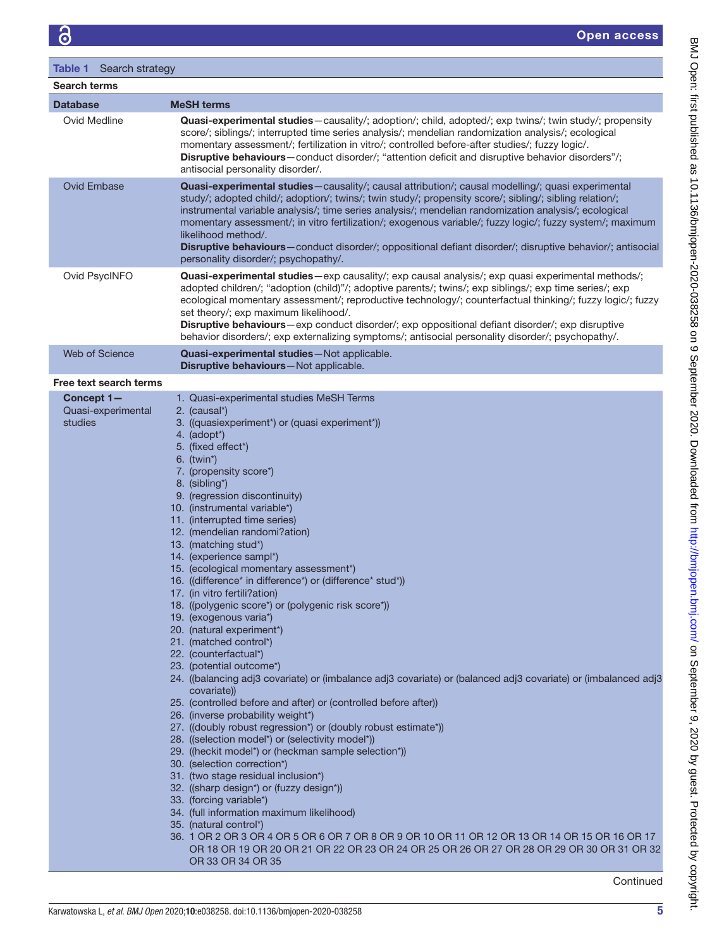<span id="page-4-0"></span>

| Table 1 Search strategy                                                                               |                                                                                                                                                                                                                                                                                                                                                                                                                                                                                                                                                                                                                                                                                                                                                                                                                                                          |  |  |  |  |
|-------------------------------------------------------------------------------------------------------|----------------------------------------------------------------------------------------------------------------------------------------------------------------------------------------------------------------------------------------------------------------------------------------------------------------------------------------------------------------------------------------------------------------------------------------------------------------------------------------------------------------------------------------------------------------------------------------------------------------------------------------------------------------------------------------------------------------------------------------------------------------------------------------------------------------------------------------------------------|--|--|--|--|
| <b>Search terms</b>                                                                                   |                                                                                                                                                                                                                                                                                                                                                                                                                                                                                                                                                                                                                                                                                                                                                                                                                                                          |  |  |  |  |
| <b>Database</b><br><b>MeSH</b> terms                                                                  |                                                                                                                                                                                                                                                                                                                                                                                                                                                                                                                                                                                                                                                                                                                                                                                                                                                          |  |  |  |  |
| Ovid Medline                                                                                          | Quasi-experimental studies-causality/; adoption/; child, adopted/; exp twins/; twin study/; propensity<br>score/; siblings/; interrupted time series analysis/; mendelian randomization analysis/; ecological<br>momentary assessment/; fertilization in vitro/; controlled before-after studies/; fuzzy logic/.<br>Disruptive behaviours-conduct disorder/; "attention deficit and disruptive behavior disorders"/;<br>antisocial personality disorder/.                                                                                                                                                                                                                                                                                                                                                                                                |  |  |  |  |
| <b>Ovid Embase</b>                                                                                    | Quasi-experimental studies-causality/; causal attribution/; causal modelling/; quasi experimental<br>study/; adopted child/; adoption/; twins/; twin study/; propensity score/; sibling/; sibling relation/;<br>instrumental variable analysis/; time series analysis/; mendelian randomization analysis/; ecological<br>momentary assessment/; in vitro fertilization/; exogenous variable/; fuzzy logic/; fuzzy system/; maximum<br>likelihood method/.<br>Disruptive behaviours-conduct disorder/; oppositional defiant disorder/; disruptive behavior/; antisocial<br>personality disorder/; psychopathy/.                                                                                                                                                                                                                                           |  |  |  |  |
| Ovid PsycINFO                                                                                         | Quasi-experimental studies-exp causality/; exp causal analysis/; exp quasi experimental methods/;<br>adopted children/; "adoption (child)"/; adoptive parents/; twins/; exp siblings/; exp time series/; exp<br>ecological momentary assessment/; reproductive technology/; counterfactual thinking/; fuzzy logic/; fuzzy<br>set theory/; exp maximum likelihood/.<br>Disruptive behaviours-exp conduct disorder/; exp oppositional defiant disorder/; exp disruptive<br>behavior disorders/; exp externalizing symptoms/; antisocial personality disorder/; psychopathy/.                                                                                                                                                                                                                                                                               |  |  |  |  |
| Web of Science<br>Quasi-experimental studies-Not applicable.<br>Disruptive behaviours-Not applicable. |                                                                                                                                                                                                                                                                                                                                                                                                                                                                                                                                                                                                                                                                                                                                                                                                                                                          |  |  |  |  |
| Free text search terms                                                                                |                                                                                                                                                                                                                                                                                                                                                                                                                                                                                                                                                                                                                                                                                                                                                                                                                                                          |  |  |  |  |
| Concept 1-<br>Quasi-experimental<br>studies                                                           | 1. Quasi-experimental studies MeSH Terms<br>2. (causal*)<br>3. ((quasiexperiment*) or (quasi experiment*))<br>4. $(adopt^*)$<br>5. (fixed effect*)<br>$6.$ (twin*)<br>7. (propensity score*)<br>8. (sibling*)<br>9. (regression discontinuity)<br>10. (instrumental variable*)<br>11. (interrupted time series)<br>12. (mendelian randomi?ation)<br>13. (matching stud*)<br>14. (experience sampl*)<br>15. (ecological momentary assessment*)<br>16. ((difference* in difference*) or (difference* stud*))<br>17. (in vitro fertili?ation)<br>18. ((polygenic score*) or (polygenic risk score*))<br>19. (exogenous varia*)<br>20. (natural experiment*)<br>21. (matched control*)<br>22. (counterfactual*)<br>23. (potential outcome*)<br>24 ((balancing adj3 covariate) or (imbalance adj3 covariate) or (balanced adj3 covariate) or (imbalanced adj3 |  |  |  |  |

- 24. ((balancing adj3 covariate) or (imbalance adj3 covariate) or (balanced adj3 covariate) or (imbalanced adj3 covariate))
- 25. (controlled before and after) or (controlled before after))
- 26. (inverse probability weight\*)
- 27. ((doubly robust regression\*) or (doubly robust estimate\*))
- 28. ((selection model\*) or (selectivity model\*))
- 29. ((heckit model\*) or (heckman sample selection\*))
- 30. (selection correction\*)
- 31. (two stage residual inclusion\*)
- 32. ((sharp design\*) or (fuzzy design\*))
- 33. (forcing variable\*)
- 34. (full information maximum likelihood)
- 35. (natural control\*)
- 36. 1 OR 2 OR 3 OR 4 OR 5 OR 6 OR 7 OR 8 OR 9 OR 10 OR 11 OR 12 OR 13 OR 14 OR 15 OR 16 OR 17 OR 18 OR 19 OR 20 OR 21 OR 22 OR 23 OR 24 OR 25 OR 26 OR 27 OR 28 OR 29 OR 30 OR 31 OR 32 OR 33 OR 34 OR 35

**Continued**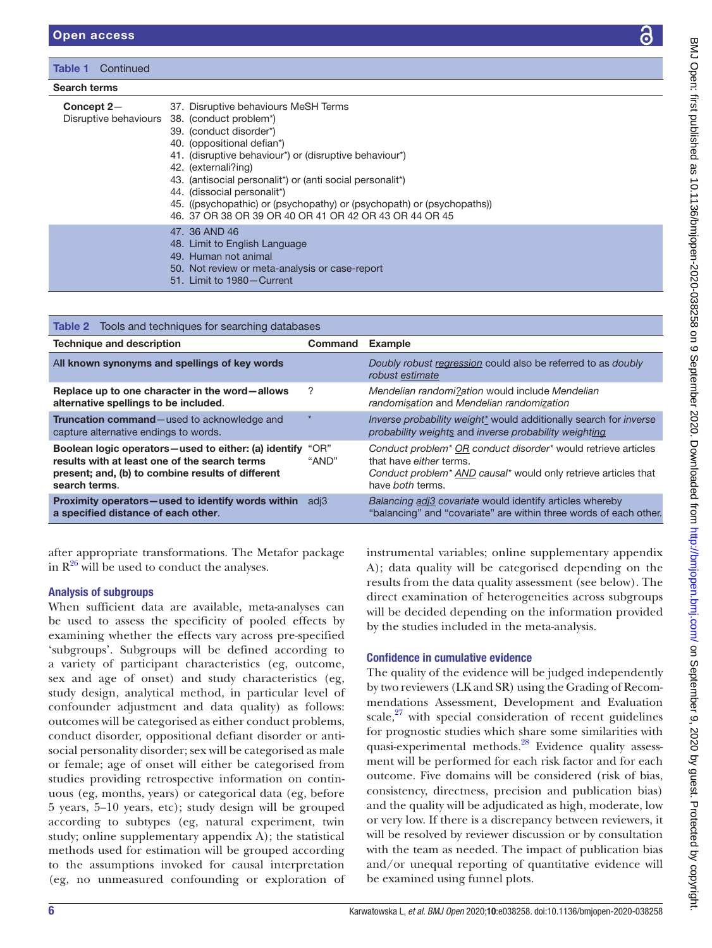#### Table 1 Continued

#### Search terms

| Concept 2- | 37. Disruptive behaviours MeSH Terms<br>Disruptive behaviours 38. (conduct problem <sup>*</sup> )<br>39. (conduct disorder*)<br>40. (oppositional defian <sup>*</sup> )<br>41. (disruptive behaviour <sup>*</sup> ) or (disruptive behaviour <sup>*</sup> )<br>42. (externali?ing)<br>43. (antisocial personalit <sup>*</sup> ) or (anti social personalit <sup>*</sup> )<br>44. (dissocial personalit*)<br>45. ((psychopathic) or (psychopathy) or (psychopath) or (psychopaths))<br>46. 37 OR 38 OR 39 OR 40 OR 41 OR 42 OR 43 OR 44 OR 45 |
|------------|----------------------------------------------------------------------------------------------------------------------------------------------------------------------------------------------------------------------------------------------------------------------------------------------------------------------------------------------------------------------------------------------------------------------------------------------------------------------------------------------------------------------------------------------|
|            | 47. 36 AND 46<br>48. Limit to English Language<br>49. Human not animal<br>50. Not review or meta-analysis or case-report<br>51. Limit to 1980 – Current                                                                                                                                                                                                                                                                                                                                                                                      |

<span id="page-5-0"></span>

| <b>Table 2</b> Tools and techniques for searching databases                                                                                                                 |               |                                                                                                                                                                                                                                |  |  |
|-----------------------------------------------------------------------------------------------------------------------------------------------------------------------------|---------------|--------------------------------------------------------------------------------------------------------------------------------------------------------------------------------------------------------------------------------|--|--|
| <b>Technique and description</b>                                                                                                                                            | Command       | <b>Example</b>                                                                                                                                                                                                                 |  |  |
| All known synonyms and spellings of key words                                                                                                                               |               | Doubly robust regression could also be referred to as doubly<br>robust estimate                                                                                                                                                |  |  |
| Replace up to one character in the word-allows<br>alternative spellings to be included.                                                                                     | ?             | Mendelian randomi?ation would include Mendelian<br>randomisation and Mendelian randomization                                                                                                                                   |  |  |
| Truncation command-used to acknowledge and<br>capture alternative endings to words.                                                                                         | $\star$       | Inverse probability weight* would additionally search for inverse<br>probability weights and inverse probability weighting                                                                                                     |  |  |
| Boolean logic operators-used to either: (a) identify<br>results with at least one of the search terms<br>present; and, (b) to combine results of different<br>search terms. | "OR"<br>"AND" | Conduct problem <sup>*</sup> OR conduct disorder <sup>*</sup> would retrieve articles<br>that have either terms.<br>Conduct problem <sup>*</sup> AND causal <sup>*</sup> would only retrieve articles that<br>have both terms. |  |  |
| Proximity operators-used to identify words within adj3<br>a specified distance of each other.                                                                               |               | Balancing adj3 covariate would identify articles whereby<br>"balancing" and "covariate" are within three words of each other.                                                                                                  |  |  |

after appropriate transformations. The Metafor package in  $R^{26}$  will be used to conduct the analyses.

## Analysis of subgroups

When sufficient data are available, meta-analyses can be used to assess the specificity of pooled effects by examining whether the effects vary across pre-specified 'subgroups'. Subgroups will be defined according to a variety of participant characteristics (eg, outcome, sex and age of onset) and study characteristics (eg, study design, analytical method, in particular level of confounder adjustment and data quality) as follows: outcomes will be categorised as either conduct problems, conduct disorder, oppositional defiant disorder or antisocial personality disorder; sex will be categorised as male or female; age of onset will either be categorised from studies providing retrospective information on continuous (eg, months, years) or categorical data (eg, before 5 years, 5–10 years, etc); study design will be grouped according to subtypes (eg, natural experiment, twin study; [online supplementary appendix A\)](https://dx.doi.org/10.1136/bmjopen-2020-038258); the statistical methods used for estimation will be grouped according to the assumptions invoked for causal interpretation (eg, no unmeasured confounding or exploration of

instrumental variables; [online supplementary appendix](https://dx.doi.org/10.1136/bmjopen-2020-038258)  [A\)](https://dx.doi.org/10.1136/bmjopen-2020-038258); data quality will be categorised depending on the results from the data quality assessment (see below). The direct examination of heterogeneities across subgroups will be decided depending on the information provided by the studies included in the meta-analysis.

## Confidence in cumulative evidence

The quality of the evidence will be judged independently by two reviewers (LK and SR) using the Grading of Recommendations Assessment, Development and Evaluation scale, $27$  with special consideration of recent guidelines for prognostic studies which share some similarities with quasi-experimental methods.<sup>28</sup> Evidence quality assessment will be performed for each risk factor and for each outcome. Five domains will be considered (risk of bias, consistency, directness, precision and publication bias) and the quality will be adjudicated as high, moderate, low or very low. If there is a discrepancy between reviewers, it will be resolved by reviewer discussion or by consultation with the team as needed. The impact of publication bias and/or unequal reporting of quantitative evidence will be examined using funnel plots.